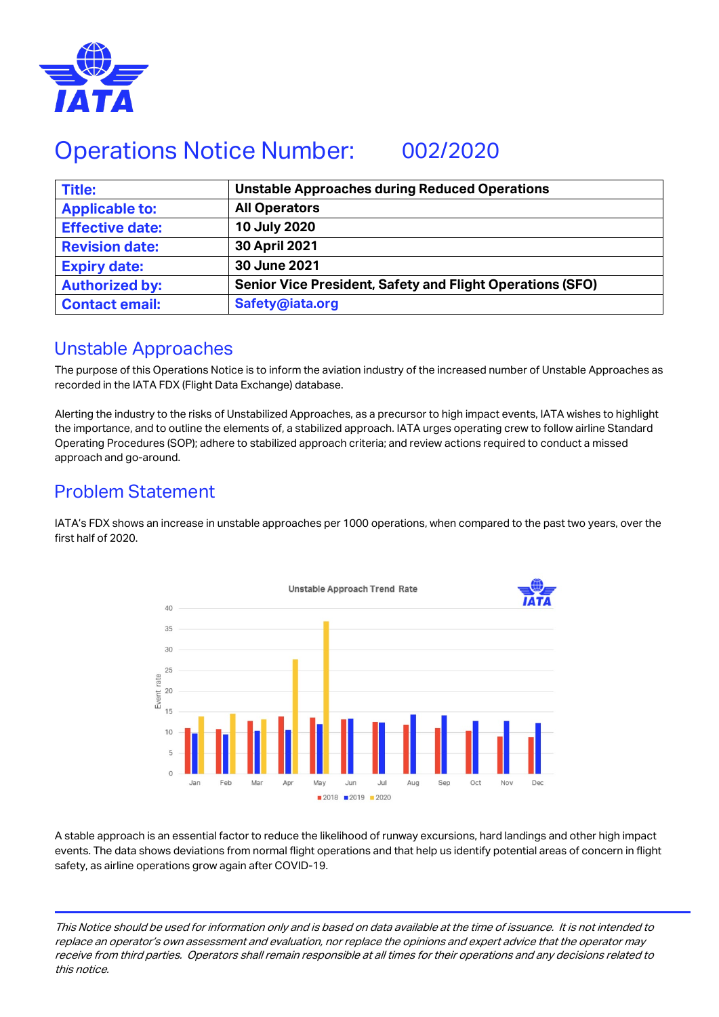

# Operations Notice Number: 002/2020

| <b>Title:</b>          | <b>Unstable Approaches during Reduced Operations</b>             |
|------------------------|------------------------------------------------------------------|
| <b>Applicable to:</b>  | <b>All Operators</b>                                             |
| <b>Effective date:</b> | 10 July 2020                                                     |
| <b>Revision date:</b>  | 30 April 2021                                                    |
| <b>Expiry date:</b>    | 30 June 2021                                                     |
| <b>Authorized by:</b>  | <b>Senior Vice President, Safety and Flight Operations (SFO)</b> |
| <b>Contact email:</b>  | Safety@iata.org                                                  |

#### Unstable Approaches

The purpose of this Operations Notice is to inform the aviation industry of the increased number of Unstable Approaches as recorded in the IATA FDX (Flight Data Exchange) database.

Alerting the industry to the risks of Unstabilized Approaches, as a precursor to high impact events, IATA wishes to highlight the importance, and to outline the elements of, a stabilized approach. IATA urges operating crew to follow airline Standard Operating Procedures (SOP); adhere to stabilized approach criteria; and review actions required to conduct a missed approach and go-around.

### Problem Statement

IATA's FDX shows an increase in unstable approaches per 1000 operations, when compared to the past two years, over the first half of 2020.



A stable approach is an essential factor to reduce the likelihood of runway excursions, hard landings and other high impact events. The data shows deviations from normal flight operations and that help us identify potential areas of concern in flight safety, as airline operations grow again after COVID-19.

This Notice should be used for information only and is based on data available at the time of issuance. It is not intended to replace an operator's own assessment and evaluation, nor replace the opinions and expert advice that the operator may receive from third parties. Operators shall remain responsible at all times for their operations and any decisions related to this notice.